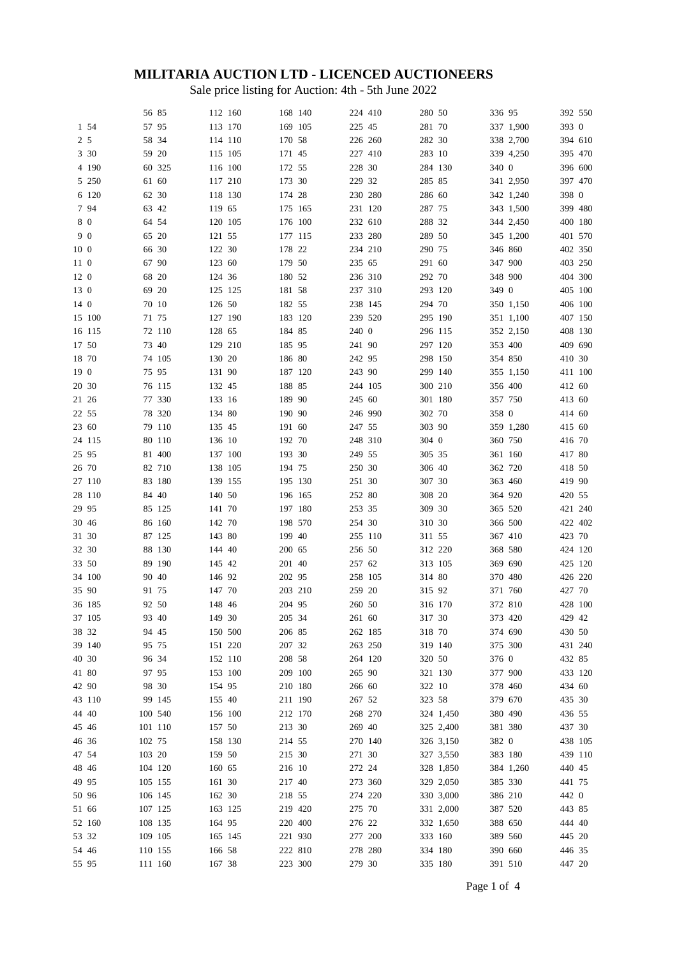## **MILITARIA AUCTION LTD - LICENCED AUCTIONEERS**

Sale price listing for Auction: 4th - 5th June 2022

|       |        | 56 85   |        | 112 160 | 168 140 | 224 410      | 280 50  |           | 336 95  |           | 392 550 |  |
|-------|--------|---------|--------|---------|---------|--------------|---------|-----------|---------|-----------|---------|--|
|       | 1 54   | 57 95   |        | 113 170 | 169 105 | 225 45       | 281 70  |           |         | 337 1,900 | 393 0   |  |
|       |        |         |        |         |         |              |         |           |         |           |         |  |
| 2 5   |        | 58 34   |        | 114 110 | 170 58  | 226 260      | 282 30  |           |         | 338 2,700 | 394 610 |  |
|       | 3 30   | 59 20   |        | 115 105 | 171 45  | 227 410      | 283 10  |           |         | 339 4,250 | 395 470 |  |
|       | 4 190  |         | 60 325 | 116 100 | 172 55  | 228 30       | 284 130 |           | 340 0   |           | 396 600 |  |
|       | 5 250  | 61 60   |        | 117 210 | 173 30  | 229 32       | 285 85  |           |         | 341 2,950 | 397 470 |  |
|       | 6 120  | 62 30   |        | 118 130 | 174 28  | 230 280      | 286 60  |           |         | 342 1,240 | 398 0   |  |
|       | 7 94   | 63 42   |        | 119 65  | 175 165 | 231 120      | 287 75  |           |         | 343 1,500 | 399 480 |  |
| 80    |        | 64 54   |        | 120 105 | 176 100 | 232 610      | 288 32  |           |         | 344 2,450 | 400 180 |  |
| 9 0   |        | 65 20   |        | 121 55  | 177 115 | 233 280      | 289 50  |           |         | 345 1,200 | 401 570 |  |
| 10 0  |        | 66 30   |        | 122 30  | 178 22  | 234 210      | 290 75  |           | 346 860 |           | 402 350 |  |
| 11 0  |        | 67 90   |        | 123 60  | 179 50  | 235 65       | 291 60  |           | 347 900 |           | 403 250 |  |
| 12 0  |        | 68 20   |        | 124 36  | 180 52  | 236 310      | 292 70  |           | 348 900 |           | 404 300 |  |
| 13 0  |        | 69 20   |        | 125 125 | 181 58  | 237 310      | 293 120 |           | 349 0   |           | 405 100 |  |
| 14 0  |        | 70 10   |        | 126 50  | 182 55  | 238 145      | 294 70  |           |         | 350 1,150 | 406 100 |  |
|       | 15 100 | 71 75   |        | 127 190 | 183 120 | 239 520      | 295 190 |           |         | 351 1,100 | 407 150 |  |
|       | 16 115 |         |        |         | 184 85  | 240 0        |         |           |         |           |         |  |
|       |        |         | 72 110 | 128 65  |         |              | 296 115 |           |         | 352 2,150 | 408 130 |  |
| 17 50 |        | 73 40   |        | 129 210 | 185 95  | 241 90       | 297 120 |           | 353 400 |           | 409 690 |  |
| 18 70 |        |         | 74 105 | 130 20  | 186 80  | 242 95       | 298 150 |           | 354 850 |           | 410 30  |  |
| 19 0  |        | 75 95   |        | 131 90  | 187 120 | 243 90       | 299 140 |           |         | 355 1,150 | 411 100 |  |
| 20 30 |        |         | 76 115 | 132 45  | 188 85  | 244 105      | 300 210 |           | 356 400 |           | 412 60  |  |
| 21 26 |        |         | 77 330 | 133 16  | 189 90  | 245 60       | 301 180 |           | 357 750 |           | 413 60  |  |
| 22 55 |        |         | 78 320 | 134 80  | 190 90  | 246 990      | 302 70  |           | 358 0   |           | 414 60  |  |
| 23 60 |        |         | 79 110 | 135 45  | 191 60  | 247 55       | 303 90  |           |         | 359 1,280 | 415 60  |  |
|       | 24 115 |         | 80 110 | 136 10  | 192 70  | 248 310      | 304 0   |           | 360 750 |           | 416 70  |  |
| 25 95 |        |         | 81 400 | 137 100 | 193 30  | 249 55       | 305 35  |           | 361 160 |           | 417 80  |  |
| 26 70 |        |         | 82 710 | 138 105 | 194 75  | 250 30       | 306 40  |           | 362 720 |           | 418 50  |  |
|       | 27 110 |         | 83 180 | 139 155 | 195 130 | 251 30       | 307 30  |           | 363 460 |           | 419 90  |  |
|       | 28 110 | 84 40   |        | 140 50  | 196 165 | 252 80       | 308 20  |           | 364 920 |           | 420 55  |  |
| 29 95 |        |         | 85 125 | 141 70  | 197 180 | 253 35       | 309 30  |           | 365 520 |           | 421 240 |  |
| 30 46 |        |         | 86 160 | 142 70  | 198 570 | 254 30       | 310 30  |           | 366 500 |           | 422 402 |  |
| 31 30 |        |         | 87 125 | 143 80  | 199 40  | 255 110      | 311 55  |           | 367 410 |           | 423 70  |  |
| 32 30 |        |         | 88 130 | 144 40  | 200 65  | 256 50       | 312 220 |           | 368 580 |           | 424 120 |  |
| 33 50 |        |         | 89 190 | 145 42  | 201 40  | 257 62       | 313 105 |           | 369 690 |           | 425 120 |  |
|       | 34 100 | 90 40   |        | 146 92  | 202 95  | 258 105      | 314 80  |           | 370 480 |           | 426 220 |  |
| 35 90 |        | 91 75   |        | 147 70  | 203 210 | 259 20       | 315 92  |           | 371 760 |           | 427 70  |  |
|       |        |         |        |         |         |              |         |           |         |           |         |  |
|       | 36 185 | 92 50   |        | 148 46  | 204 95  | 260 50       | 316 170 |           | 372 810 |           | 428 100 |  |
|       | 37 105 | 93 40   |        | 149 30  | 205 34  | $261\;$ $60$ | 317 30  |           | 373 420 |           | 429 42  |  |
| 38 32 |        | 94 45   |        | 150 500 | 206 85  | 262 185      | 318 70  |           | 374 690 |           | 430 50  |  |
|       | 39 140 | 95 75   |        | 151 220 | 207 32  | 263 250      | 319 140 |           | 375 300 |           | 431 240 |  |
| 40 30 |        | 96 34   |        | 152 110 | 208 58  | 264 120      | 320 50  |           | 376 0   |           | 432 85  |  |
| 41 80 |        | 97 95   |        | 153 100 | 209 100 | 265 90       | 321 130 |           | 377 900 |           | 433 120 |  |
| 42 90 |        | 98 30   |        | 154 95  | 210 180 | 266 60       | 322 10  |           | 378 460 |           | 434 60  |  |
|       | 43 110 |         | 99 145 | 155 40  | 211 190 | 267 52       | 323 58  |           | 379 670 |           | 435 30  |  |
| 44 40 |        | 100 540 |        | 156 100 | 212 170 | 268 270      |         | 324 1,450 | 380 490 |           | 436 55  |  |
| 45 46 |        | 101 110 |        | 157 50  | 213 30  | 269 40       |         | 325 2,400 | 381 380 |           | 437 30  |  |
| 46 36 |        | 102 75  |        | 158 130 | 214 55  | 270 140      |         | 326 3,150 | 382 0   |           | 438 105 |  |
| 47 54 |        | 103 20  |        | 159 50  | 215 30  | 271 30       |         | 327 3,550 | 383 180 |           | 439 110 |  |
| 4846  |        | 104 120 |        | 160 65  | 216 10  | 272 24       |         | 328 1,850 |         | 384 1,260 | 440 45  |  |
| 49 95 |        | 105 155 |        | 161 30  | 217 40  | 273 360      |         | 329 2,050 | 385 330 |           | 441 75  |  |
| 50 96 |        | 106 145 |        | 162 30  | 218 55  | 274 220      |         | 330 3,000 | 386 210 |           | 442 0   |  |
| 51 66 |        | 107 125 |        | 163 125 | 219 420 | 275 70       |         | 331 2,000 | 387 520 |           | 443 85  |  |
|       | 52 160 | 108 135 |        | 164 95  | 220 400 | 276 22       |         | 332 1,650 | 388 650 |           | 444 40  |  |
| 53 32 |        | 109 105 |        | 165 145 | 221 930 | 277 200      | 333 160 |           | 389 560 |           | 445 20  |  |
| 54 46 |        | 110 155 |        | 166 58  | 222 810 | 278 280      | 334 180 |           | 390 660 |           | 446 35  |  |
| 55 95 |        | 111 160 |        | 167 38  | 223 300 | 279 30       | 335 180 |           | 391 510 |           | 447 20  |  |
|       |        |         |        |         |         |              |         |           |         |           |         |  |

Page 1 of 4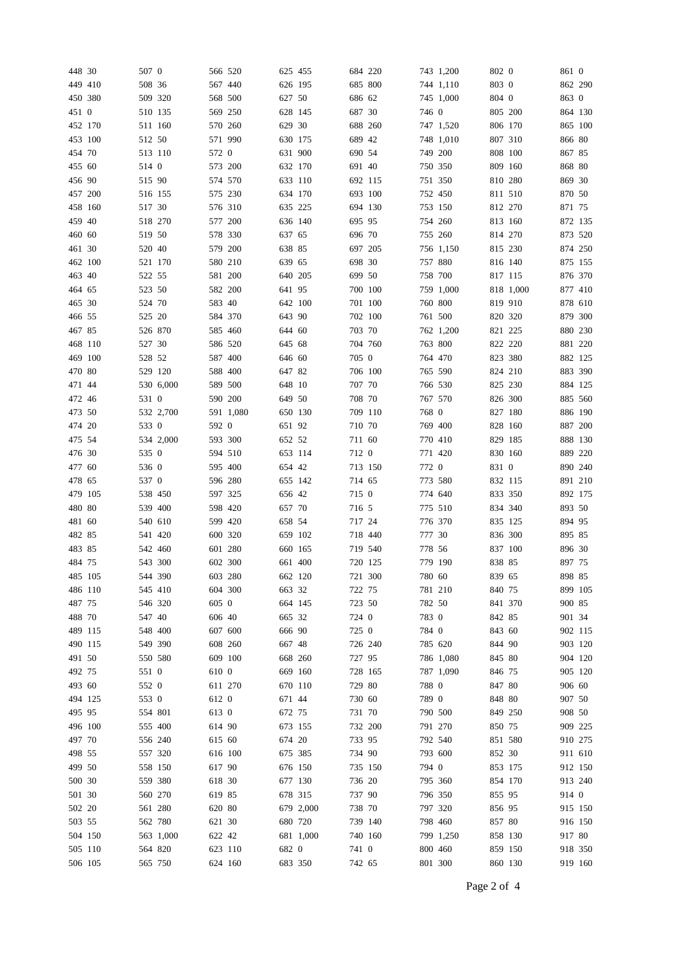| 448 30  | 507 0  |           |         | 566 520   | 625 455 |           |         | 684 220 |         | 743 1,200 | 802 0   |           | 861 0   |         |
|---------|--------|-----------|---------|-----------|---------|-----------|---------|---------|---------|-----------|---------|-----------|---------|---------|
| 449 410 | 508 36 |           |         | 567 440   | 626 195 |           | 685 800 |         |         | 744 1,110 | 803 0   |           |         | 862 290 |
| 450 380 |        | 509 320   |         | 568 500   | 627 50  |           | 686 62  |         |         | 745 1,000 | 804 0   |           | 863 0   |         |
| 451 0   |        | 510 135   |         | 569 250   | 628 145 |           | 687 30  |         | 746 0   |           | 805 200 |           | 864 130 |         |
| 452 170 |        | 511 160   | 570 260 |           | 629 30  |           |         | 688 260 |         | 747 1,520 | 806 170 |           | 865 100 |         |
| 453 100 | 512 50 |           |         | 571 990   | 630 175 |           | 689 42  |         |         | 748 1,010 | 807 310 |           | 866 80  |         |
| 454 70  |        | 513 110   | 572 0   |           | 631 900 |           | 690 54  |         |         | 749 200   | 808 100 |           | 867 85  |         |
| 455 60  | 514 0  |           | 573 200 |           | 632 170 |           | 691 40  |         |         | 750 350   | 809 160 |           | 868 80  |         |
| 456 90  | 515 90 |           |         | 574 570   |         |           | 692 115 |         |         | 751 350   | 810 280 |           | 869 30  |         |
|         |        |           |         |           | 633 110 |           |         |         |         |           |         |           |         |         |
| 457 200 |        | 516 155   |         | 575 230   | 634 170 |           | 693 100 |         |         | 752 450   | 811 510 |           | 870 50  |         |
| 458 160 | 517 30 |           |         | 576 310   | 635 225 |           |         | 694 130 |         | 753 150   | 812 270 |           | 871 75  |         |
| 459 40  |        | 518 270   | 577 200 |           | 636 140 |           | 695 95  |         |         | 754 260   | 813 160 |           |         | 872 135 |
| 460 60  | 519 50 |           |         | 578 330   | 637 65  |           | 696 70  |         |         | 755 260   | 814 270 |           | 873 520 |         |
| 461 30  | 520 40 |           | 579 200 |           | 638 85  |           | 697 205 |         |         | 756 1,150 | 815 230 |           | 874 250 |         |
| 462 100 |        | 521 170   | 580 210 |           | 639 65  |           | 698 30  |         |         | 757 880   | 816 140 |           |         | 875 155 |
| 463 40  | 522 55 |           | 581 200 |           | 640 205 |           | 699 50  |         |         | 758 700   | 817 115 |           |         | 876 370 |
| 464 65  | 523 50 |           | 582 200 |           | 641 95  |           |         | 700 100 |         | 759 1,000 |         | 818 1,000 |         | 877 410 |
| 465 30  | 524 70 |           | 583 40  |           | 642 100 |           | 701 100 |         |         | 760 800   | 819 910 |           |         | 878 610 |
| 466 55  | 525 20 |           |         | 584 370   | 643 90  |           |         | 702 100 |         | 761 500   | 820 320 |           | 879 300 |         |
| 467 85  |        | 526 870   |         | 585 460   | 644 60  |           | 703 70  |         |         | 762 1,200 | 821 225 |           | 880 230 |         |
| 468 110 | 527 30 |           |         | 586 520   | 645 68  |           |         | 704 760 |         | 763 800   | 822 220 |           | 881 220 |         |
| 469 100 | 528 52 |           | 587 400 |           | 646 60  |           | 705 0   |         |         | 764 470   | 823 380 |           | 882 125 |         |
| 470 80  |        | 529 120   | 588 400 |           | 647 82  |           | 706 100 |         |         | 765 590   | 824 210 |           | 883 390 |         |
| 471 44  |        | 530 6,000 |         | 589 500   | 648 10  |           | 707 70  |         |         | 766 530   | 825 230 |           | 884 125 |         |
| 472 46  | 531 0  |           |         | 590 200   | 649 50  |           | 708 70  |         |         | 767 570   | 826 300 |           | 885 560 |         |
| 473 50  |        | 532 2,700 |         | 591 1,080 | 650 130 |           |         | 709 110 | 768 0   |           | 827 180 |           | 886 190 |         |
|         |        |           |         |           |         |           |         |         |         |           |         |           |         |         |
| 474 20  | 533 0  |           | 592 0   |           | 651 92  |           | 710 70  |         | 769 400 |           | 828 160 |           |         | 887 200 |
| 475 54  |        | 534 2,000 |         | 593 300   | 652 52  |           | 711 60  |         |         | 770 410   | 829 185 |           | 888 130 |         |
| 476 30  | 535 0  |           |         | 594 510   | 653 114 |           | 712 0   |         |         | 771 420   | 830 160 |           | 889 220 |         |
| 477 60  | 536 0  |           |         | 595 400   | 654 42  |           |         | 713 150 | 772 0   |           | 831 0   |           | 890 240 |         |
| 478 65  | 537 0  |           | 596 280 |           | 655 142 |           | 714 65  |         |         | 773 580   | 832 115 |           | 891 210 |         |
| 479 105 |        | 538 450   |         | 597 325   | 656 42  |           | 715 0   |         |         | 774 640   | 833 350 |           | 892 175 |         |
| 480 80  |        | 539 400   | 598 420 |           | 657 70  |           | 716 5   |         |         | 775 510   | 834 340 |           | 893 50  |         |
| 481 60  |        | 540 610   | 599 420 |           | 658 54  |           | 717 24  |         | 776 370 |           | 835 125 |           | 894 95  |         |
| 482 85  |        | 541 420   |         | 600 320   | 659 102 |           |         | 718 440 | 777 30  |           | 836 300 |           | 895 85  |         |
| 483 85  |        | 542 460   | 601 280 |           | 660 165 |           | 719 540 |         | 778 56  |           | 837 100 |           | 896 30  |         |
| 484 75  |        | 543 300   |         | 602 300   | 661 400 |           |         | 720 125 |         | 779 190   | 838 85  |           | 897 75  |         |
| 485 105 |        | 544 390   |         | 603 280   | 662 120 |           |         | 721 300 | 780 60  |           | 839 65  |           | 898 85  |         |
| 486 110 |        | 545 410   |         | 604 300   | 663 32  |           | 722 75  |         |         | 781 210   | 840 75  |           | 899 105 |         |
| 487 75  |        | 546 320   | 605 0   |           | 664 145 |           | 723 50  |         | 782 50  |           | 841 370 |           | 900 85  |         |
| 488 70  | 547 40 |           | 606 40  |           | 665 32  |           | 724 0   |         | 783 0   |           | 842 85  |           | 901 34  |         |
| 489 115 |        | 548 400   |         | 607 600   | 666 90  |           | 725 0   |         | 784 0   |           | 843 60  |           |         | 902 115 |
| 490 115 |        | 549 390   |         | 608 260   | 667 48  |           |         | 726 240 |         | 785 620   | 844 90  |           | 903 120 |         |
| 491 50  |        | 550 580   |         | 609 100   | 668 260 |           | 727 95  |         |         | 786 1,080 | 845 80  |           | 904 120 |         |
| 492 75  | 551 0  |           | 610 0   |           | 669 160 |           |         | 728 165 |         | 787 1,090 | 846 75  |           | 905 120 |         |
| 493 60  | 552 0  |           |         |           |         |           | 729 80  |         | 788 0   |           | 847 80  |           | 906 60  |         |
|         |        |           |         | 611 270   | 670 110 |           |         |         |         |           |         |           |         |         |
| 494 125 | 553 0  |           | 612 0   |           | 671 44  |           | 730 60  |         | 789 0   |           | 848 80  |           | 907 50  |         |
| 495 95  |        | 554 801   | 613 0   |           | 672 75  |           | 731 70  |         |         | 790 500   | 849 250 |           | 908 50  |         |
| 496 100 |        | 555 400   | 614 90  |           | 673 155 |           |         | 732 200 |         | 791 270   | 850 75  |           | 909 225 |         |
| 497 70  |        | 556 240   | 615 60  |           | 674 20  |           | 733 95  |         |         | 792 540   | 851 580 |           | 910 275 |         |
| 498 55  |        | 557 320   |         | 616 100   | 675 385 |           | 734 90  |         | 793 600 |           | 852 30  |           | 911 610 |         |
| 499 50  |        | 558 150   | 617 90  |           | 676 150 |           |         | 735 150 | 794 0   |           | 853 175 |           | 912 150 |         |
| 500 30  |        | 559 380   | 618 30  |           | 677 130 |           | 736 20  |         |         | 795 360   | 854 170 |           | 913 240 |         |
| 501 30  |        | 560 270   | 619 85  |           | 678 315 |           | 737 90  |         |         | 796 350   | 855 95  |           | 914 0   |         |
| 502 20  |        | 561 280   | 620 80  |           |         | 679 2,000 | 738 70  |         |         | 797 320   | 856 95  |           | 915 150 |         |
| 503 55  |        | 562 780   | 621 30  |           | 680 720 |           |         | 739 140 |         | 798 460   | 857 80  |           | 916 150 |         |
| 504 150 |        | 563 1,000 | 622 42  |           |         | 681 1,000 |         | 740 160 |         | 799 1,250 | 858 130 |           | 917 80  |         |
| 505 110 |        | 564 820   |         | 623 110   | 682 0   |           | 741 0   |         |         | 800 460   | 859 150 |           | 918 350 |         |
| 506 105 |        | 565 750   |         | 624 160   | 683 350 |           | 742 65  |         |         | 801 300   | 860 130 |           | 919 160 |         |
|         |        |           |         |           |         |           |         |         |         |           |         |           |         |         |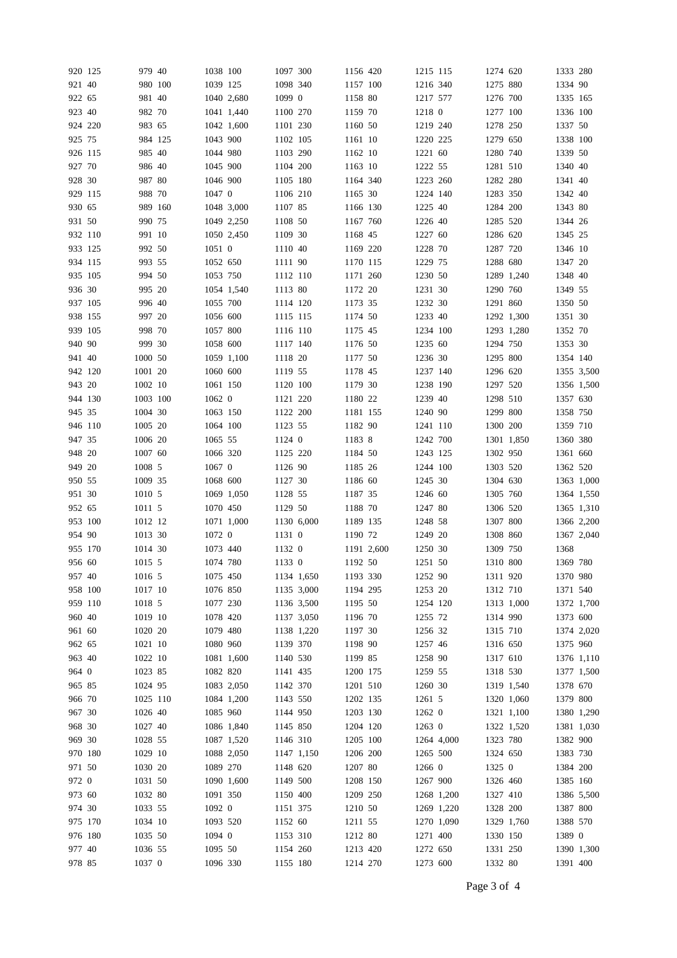|        | 920 125 | 979 40   |         | 1038 100 |            | 1097 300 |            | 1156 420 |            | 1215 115 |            | 1274 620 |            | 1333 280 |            |
|--------|---------|----------|---------|----------|------------|----------|------------|----------|------------|----------|------------|----------|------------|----------|------------|
| 921 40 |         |          | 980 100 | 1039 125 |            | 1098 340 |            | 1157 100 |            | 1216 340 |            | 1275 880 |            | 1334 90  |            |
| 922 65 |         | 981 40   |         |          | 1040 2.680 | 1099 0   |            | 1158 80  |            | 1217 577 |            | 1276 700 |            | 1335 165 |            |
| 923 40 |         | 982 70   |         |          | 1041 1,440 | 1100 270 |            | 1159 70  |            | 1218 0   |            | 1277 100 |            | 1336 100 |            |
|        |         |          |         |          |            |          |            |          |            |          |            |          |            |          |            |
|        | 924 220 | 983 65   |         |          | 1042 1,600 | 1101 230 |            | 1160 50  |            | 1219 240 |            | 1278 250 |            | 1337 50  |            |
| 925 75 |         |          | 984 125 | 1043 900 |            | 1102 105 |            | 1161 10  |            | 1220 225 |            | 1279 650 |            | 1338 100 |            |
|        | 926 115 | 985 40   |         | 1044 980 |            | 1103 290 |            | 1162 10  |            | 1221 60  |            | 1280 740 |            | 1339 50  |            |
| 927 70 |         | 986 40   |         | 1045 900 |            | 1104 200 |            | 1163 10  |            | 1222 55  |            | 1281 510 |            | 1340 40  |            |
| 928 30 |         | 987 80   |         | 1046 900 |            | 1105 180 |            | 1164 340 |            | 1223 260 |            | 1282 280 |            | 1341 40  |            |
|        | 929 115 | 988 70   |         | 1047 0   |            | 1106 210 |            | 1165 30  |            | 1224 140 |            | 1283 350 |            | 1342 40  |            |
| 930 65 |         |          | 989 160 |          | 1048 3,000 | 1107 85  |            | 1166 130 |            | 1225 40  |            | 1284 200 |            | 1343 80  |            |
| 931 50 |         | 990 75   |         |          | 1049 2,250 | 1108 50  |            | 1167 760 |            | 1226 40  |            | 1285 520 |            | 1344 26  |            |
|        | 932 110 | 991 10   |         |          | 1050 2,450 | 1109 30  |            | 1168 45  |            | 1227 60  |            | 1286 620 |            | 1345 25  |            |
|        |         | 992 50   |         | 1051 0   |            |          |            |          |            |          |            |          |            |          |            |
|        | 933 125 |          |         |          |            | 1110 40  |            | 1169 220 |            | 1228 70  |            | 1287 720 |            | 1346 10  |            |
|        | 934 115 | 993 55   |         | 1052 650 |            | 1111 90  |            | 1170 115 |            | 1229 75  |            | 1288 680 |            | 1347 20  |            |
|        | 935 105 | 994 50   |         | 1053 750 |            | 1112 110 |            | 1171 260 |            | 1230 50  |            |          | 1289 1,240 | 1348 40  |            |
| 936 30 |         | 995 20   |         |          | 1054 1,540 | 1113 80  |            | 1172 20  |            | 1231 30  |            | 1290 760 |            | 1349 55  |            |
|        | 937 105 | 996 40   |         | 1055 700 |            | 1114 120 |            | 1173 35  |            | 1232 30  |            | 1291 860 |            | 1350 50  |            |
|        | 938 155 | 997 20   |         | 1056 600 |            | 1115 115 |            | 1174 50  |            | 1233 40  |            |          | 1292 1,300 | 1351 30  |            |
|        | 939 105 | 998 70   |         | 1057 800 |            | 1116 110 |            | 1175 45  |            | 1234 100 |            |          | 1293 1,280 | 1352 70  |            |
| 940 90 |         | 999 30   |         | 1058 600 |            | 1117 140 |            | 1176 50  |            | 1235 60  |            | 1294 750 |            | 1353 30  |            |
| 941 40 |         | 1000 50  |         |          | 1059 1,100 | 1118 20  |            | 1177 50  |            | 1236 30  |            | 1295 800 |            | 1354 140 |            |
|        | 942 120 | 1001 20  |         | 1060 600 |            | 1119 55  |            | 1178 45  |            | 1237 140 |            | 1296 620 |            |          | 1355 3,500 |
|        |         |          |         |          |            |          |            |          |            |          |            |          |            |          |            |
| 943 20 |         | 1002 10  |         | 1061 150 |            | 1120 100 |            | 1179 30  |            | 1238 190 |            | 1297 520 |            |          | 1356 1,500 |
|        | 944 130 | 1003 100 |         | 1062 0   |            | 1121 220 |            | 1180 22  |            | 1239 40  |            | 1298 510 |            | 1357 630 |            |
| 945 35 |         | 1004 30  |         | 1063 150 |            | 1122 200 |            | 1181 155 |            | 1240 90  |            | 1299 800 |            | 1358 750 |            |
|        | 946 110 | 1005 20  |         | 1064 100 |            | 1123 55  |            | 1182 90  |            | 1241 110 |            | 1300 200 |            | 1359 710 |            |
| 947 35 |         | 1006 20  |         | 1065 55  |            | 1124 0   |            | 1183 8   |            | 1242 700 |            |          | 1301 1,850 | 1360 380 |            |
| 948 20 |         | 1007 60  |         | 1066 320 |            | 1125 220 |            | 1184 50  |            | 1243 125 |            | 1302 950 |            | 1361 660 |            |
| 949 20 |         | 1008 5   |         | 1067 0   |            | 1126 90  |            | 1185 26  |            | 1244 100 |            | 1303 520 |            | 1362 520 |            |
| 950 55 |         | 1009 35  |         | 1068 600 |            | 1127 30  |            | 1186 60  |            | 1245 30  |            | 1304 630 |            |          | 1363 1,000 |
| 951 30 |         | 1010 5   |         |          | 1069 1,050 | 1128 55  |            | 1187 35  |            | 1246 60  |            | 1305 760 |            |          | 1364 1,550 |
| 952 65 |         | 1011 5   |         | 1070 450 |            | 1129 50  |            | 1188 70  |            | 1247 80  |            | 1306 520 |            |          | 1365 1,310 |
|        |         |          |         |          |            |          |            |          |            |          |            |          |            |          |            |
|        | 953 100 | 1012 12  |         |          | 1071 1,000 |          | 1130 6,000 | 1189 135 |            | 1248 58  |            | 1307 800 |            |          | 1366 2,200 |
| 954 90 |         | 1013 30  |         | 1072 0   |            | 1131 0   |            | 1190 72  |            | 1249 20  |            | 1308 860 |            |          | 1367 2,040 |
|        | 955 170 | 1014 30  |         | 1073 440 |            | 1132 0   |            |          | 1191 2,600 | 1250 30  |            | 1309 750 |            | 1368     |            |
| 956 60 |         | 1015 5   |         | 1074 780 |            | 1133 0   |            | 1192 50  |            | 1251 50  |            | 1310 800 |            | 1369 780 |            |
| 957 40 |         | 1016 5   |         | 1075 450 |            |          | 1134 1,650 | 1193 330 |            | 1252 90  |            | 1311 920 |            | 1370 980 |            |
|        | 958 100 | 1017 10  |         | 1076 850 |            |          | 1135 3,000 | 1194 295 |            | 1253 20  |            | 1312 710 |            | 1371 540 |            |
|        | 959 110 | 1018 5   |         | 1077 230 |            |          | 1136 3,500 | 1195 50  |            | 1254 120 |            |          | 1313 1,000 |          | 1372 1,700 |
| 960 40 |         | 1019 10  |         | 1078 420 |            |          | 1137 3,050 | 1196 70  |            | 1255 72  |            | 1314 990 |            | 1373 600 |            |
| 961 60 |         | 1020 20  |         | 1079 480 |            |          | 1138 1,220 | 1197 30  |            | 1256 32  |            | 1315 710 |            |          | 1374 2,020 |
| 962 65 |         | 1021 10  |         | 1080 960 |            | 1139 370 |            | 1198 90  |            | 1257 46  |            | 1316 650 |            | 1375 960 |            |
| 963 40 |         | 1022 10  |         |          | 1081 1,600 | 1140 530 |            | 1199 85  |            | 1258 90  |            | 1317 610 |            |          | 1376 1,110 |
|        |         |          |         | 1082 820 |            |          |            |          |            |          |            |          |            |          |            |
| 964 0  |         | 1023 85  |         |          |            | 1141 435 |            | 1200 175 |            | 1259 55  |            | 1318 530 |            |          | 1377 1,500 |
| 965 85 |         | 1024 95  |         |          | 1083 2,050 | 1142 370 |            | 1201 510 |            | 1260 30  |            |          | 1319 1,540 | 1378 670 |            |
| 966 70 |         | 1025 110 |         |          | 1084 1,200 | 1143 550 |            | 1202 135 |            | 1261 5   |            |          | 1320 1,060 | 1379 800 |            |
| 967 30 |         | 1026 40  |         | 1085 960 |            | 1144 950 |            | 1203 130 |            | 1262 0   |            |          | 1321 1,100 |          | 1380 1,290 |
| 968 30 |         | 1027 40  |         |          | 1086 1,840 | 1145 850 |            | 1204 120 |            | 1263 0   |            |          | 1322 1,520 |          | 1381 1,030 |
| 969 30 |         | 1028 55  |         |          | 1087 1,520 | 1146 310 |            | 1205 100 |            |          | 1264 4,000 | 1323 780 |            | 1382 900 |            |
|        | 970 180 | 1029 10  |         |          | 1088 2,050 |          | 1147 1,150 | 1206 200 |            | 1265 500 |            | 1324 650 |            | 1383 730 |            |
| 971 50 |         | 1030 20  |         | 1089 270 |            | 1148 620 |            | 1207 80  |            | 1266 0   |            | 1325 0   |            | 1384 200 |            |
| 972 0  |         | 1031 50  |         |          | 1090 1,600 | 1149 500 |            | 1208 150 |            | 1267 900 |            | 1326 460 |            | 1385 160 |            |
| 973 60 |         | 1032 80  |         | 1091 350 |            | 1150 400 |            | 1209 250 |            |          | 1268 1,200 | 1327 410 |            |          | 1386 5,500 |
|        |         |          |         |          |            |          |            |          |            |          |            |          |            |          |            |
| 974 30 |         | 1033 55  |         | 1092 0   |            | 1151 375 |            | 1210 50  |            |          | 1269 1,220 | 1328 200 |            | 1387 800 |            |
|        | 975 170 | 1034 10  |         | 1093 520 |            | 1152 60  |            | 1211 55  |            |          | 1270 1,090 |          | 1329 1,760 | 1388 570 |            |
|        | 976 180 | 1035 50  |         | 1094 0   |            | 1153 310 |            | 1212 80  |            | 1271 400 |            | 1330 150 |            | 1389 0   |            |
| 977 40 |         | 1036 55  |         | 1095 50  |            | 1154 260 |            | 1213 420 |            | 1272 650 |            | 1331 250 |            |          | 1390 1,300 |
| 978 85 |         | 1037 0   |         | 1096 330 |            | 1155 180 |            | 1214 270 |            | 1273 600 |            | 1332 80  |            | 1391 400 |            |
|        |         |          |         |          |            |          |            |          |            |          |            |          |            |          |            |